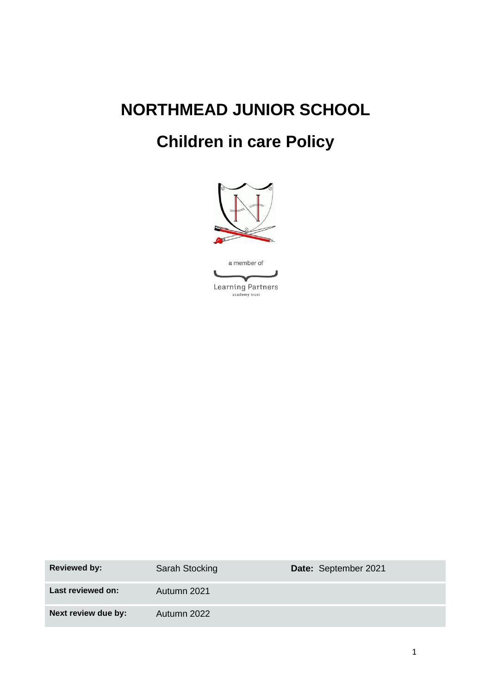# **NORTHMEAD JUNIOR SCHOOL**

# **Children in care Policy**



| <b>Reviewed by:</b> | <b>Sarah Stocking</b> | Date: September 2021 |
|---------------------|-----------------------|----------------------|
| Last reviewed on:   | Autumn 2021           |                      |
| Next review due by: | Autumn 2022           |                      |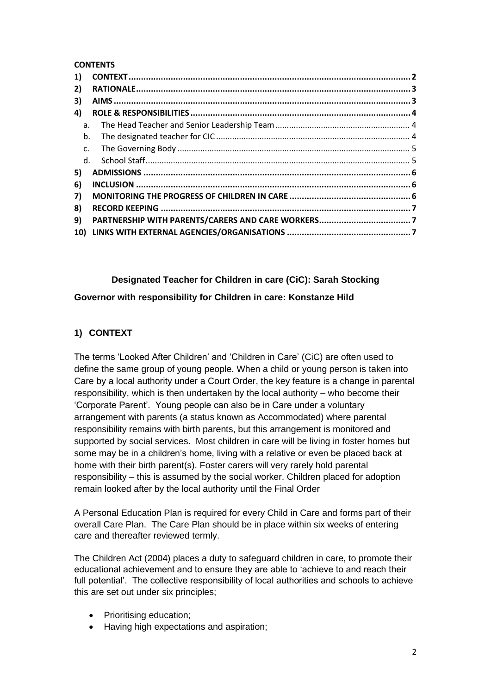#### **CONTENTS**

| 1)          |  |
|-------------|--|
| 2)          |  |
| 3)          |  |
| 4)          |  |
| a.          |  |
| b.          |  |
| c.          |  |
| $d_{\cdot}$ |  |
| 5)          |  |
| 6)          |  |
| 7)          |  |
| 8)          |  |
| 9)          |  |
|             |  |

# **Designated Teacher for Children in care (CiC): Sarah Stocking**

#### **Governor with responsibility for Children in care: Konstanze Hild**

# <span id="page-1-0"></span>**1) CONTEXT**

The terms 'Looked After Children' and 'Children in Care' (CiC) are often used to define the same group of young people. When a child or young person is taken into Care by a local authority under a Court Order, the key feature is a change in parental responsibility, which is then undertaken by the local authority – who become their 'Corporate Parent'. Young people can also be in Care under a voluntary arrangement with parents (a status known as Accommodated) where parental responsibility remains with birth parents, but this arrangement is monitored and supported by social services. Most children in care will be living in foster homes but some may be in a children's home, living with a relative or even be placed back at home with their birth parent(s). Foster carers will very rarely hold parental responsibility – this is assumed by the social worker. Children placed for adoption remain looked after by the local authority until the Final Order

A Personal Education Plan is required for every Child in Care and forms part of their overall Care Plan. The Care Plan should be in place within six weeks of entering care and thereafter reviewed termly.

The Children Act (2004) places a duty to safeguard children in care, to promote their educational achievement and to ensure they are able to 'achieve to and reach their full potential'. The collective responsibility of local authorities and schools to achieve this are set out under six principles;

- Prioritising education:
- Having high expectations and aspiration;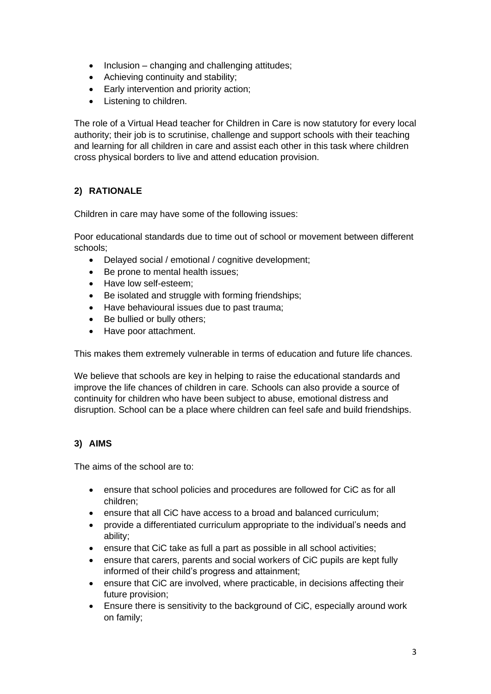- Inclusion changing and challenging attitudes;
- Achieving continuity and stability;
- Early intervention and priority action;
- Listening to children.

The role of a Virtual Head teacher for Children in Care is now statutory for every local authority; their job is to scrutinise, challenge and support schools with their teaching and learning for all children in care and assist each other in this task where children cross physical borders to live and attend education provision.

# <span id="page-2-0"></span>**2) RATIONALE**

Children in care may have some of the following issues:

Poor educational standards due to time out of school or movement between different schools;

- Delayed social / emotional / cognitive development;
- Be prone to mental health issues;
- Have low self-esteem;
- Be isolated and struggle with forming friendships:
- Have behavioural issues due to past trauma;
- Be bullied or bully others;
- Have poor attachment.

This makes them extremely vulnerable in terms of education and future life chances.

We believe that schools are key in helping to raise the educational standards and improve the life chances of children in care. Schools can also provide a source of continuity for children who have been subject to abuse, emotional distress and disruption. School can be a place where children can feel safe and build friendships.

#### <span id="page-2-1"></span>**3) AIMS**

The aims of the school are to:

- ensure that school policies and procedures are followed for CiC as for all children;
- ensure that all CiC have access to a broad and balanced curriculum;
- provide a differentiated curriculum appropriate to the individual's needs and ability;
- ensure that CiC take as full a part as possible in all school activities;
- ensure that carers, parents and social workers of CiC pupils are kept fully informed of their child's progress and attainment;
- ensure that CiC are involved, where practicable, in decisions affecting their future provision;
- Ensure there is sensitivity to the background of CiC, especially around work on family;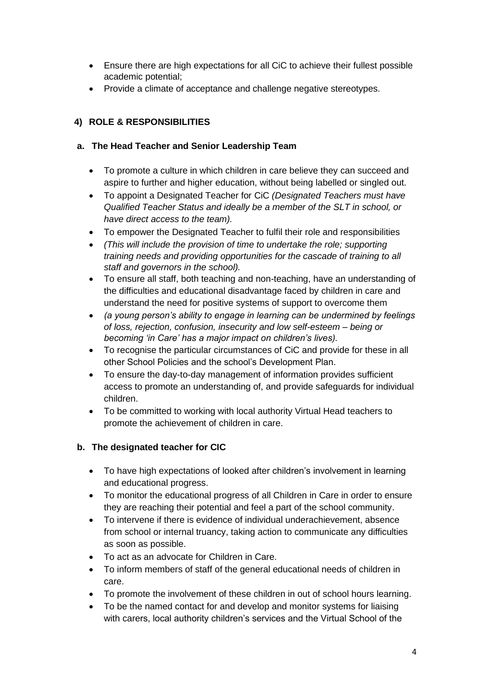- Ensure there are high expectations for all CiC to achieve their fullest possible academic potential;
- Provide a climate of acceptance and challenge negative stereotypes.

# <span id="page-3-0"></span>**4) ROLE & RESPONSIBILITIES**

# <span id="page-3-1"></span>**a. The Head Teacher and Senior Leadership Team**

- To promote a culture in which children in care believe they can succeed and aspire to further and higher education, without being labelled or singled out.
- To appoint a Designated Teacher for CiC *(Designated Teachers must have Qualified Teacher Status and ideally be a member of the SLT in school, or have direct access to the team).*
- To empower the Designated Teacher to fulfil their role and responsibilities
- *(This will include the provision of time to undertake the role; supporting training needs and providing opportunities for the cascade of training to all staff and governors in the school).*
- To ensure all staff, both teaching and non-teaching, have an understanding of the difficulties and educational disadvantage faced by children in care and understand the need for positive systems of support to overcome them
- *(a young person's ability to engage in learning can be undermined by feelings of loss, rejection, confusion, insecurity and low self-esteem – being or becoming 'in Care' has a major impact on children's lives).*
- To recognise the particular circumstances of CiC and provide for these in all other School Policies and the school's Development Plan.
- To ensure the day-to-day management of information provides sufficient access to promote an understanding of, and provide safeguards for individual children.
- To be committed to working with local authority Virtual Head teachers to promote the achievement of children in care.

# <span id="page-3-2"></span>**b. The designated teacher for CIC**

- To have high expectations of looked after children's involvement in learning and educational progress.
- To monitor the educational progress of all Children in Care in order to ensure they are reaching their potential and feel a part of the school community.
- To intervene if there is evidence of individual underachievement, absence from school or internal truancy, taking action to communicate any difficulties as soon as possible.
- To act as an advocate for Children in Care.
- To inform members of staff of the general educational needs of children in care.
- To promote the involvement of these children in out of school hours learning.
- To be the named contact for and develop and monitor systems for liaising with carers, local authority children's services and the Virtual School of the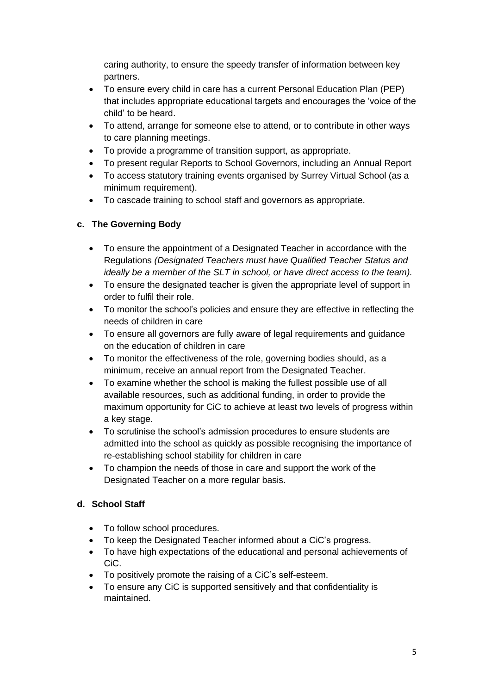caring authority, to ensure the speedy transfer of information between key partners.

- To ensure every child in care has a current Personal Education Plan (PEP) that includes appropriate educational targets and encourages the 'voice of the child' to be heard.
- To attend, arrange for someone else to attend, or to contribute in other ways to care planning meetings.
- To provide a programme of transition support, as appropriate.
- To present regular Reports to School Governors, including an Annual Report
- To access statutory training events organised by Surrey Virtual School (as a minimum requirement).
- To cascade training to school staff and governors as appropriate.

# <span id="page-4-0"></span>**c. The Governing Body**

- To ensure the appointment of a Designated Teacher in accordance with the Regulations *(Designated Teachers must have Qualified Teacher Status and ideally be a member of the SLT in school, or have direct access to the team).*
- To ensure the designated teacher is given the appropriate level of support in order to fulfil their role.
- To monitor the school's policies and ensure they are effective in reflecting the needs of children in care
- To ensure all governors are fully aware of legal requirements and guidance on the education of children in care
- To monitor the effectiveness of the role, governing bodies should, as a minimum, receive an annual report from the Designated Teacher.
- To examine whether the school is making the fullest possible use of all available resources, such as additional funding, in order to provide the maximum opportunity for CiC to achieve at least two levels of progress within a key stage.
- To scrutinise the school's admission procedures to ensure students are admitted into the school as quickly as possible recognising the importance of re-establishing school stability for children in care
- To champion the needs of those in care and support the work of the Designated Teacher on a more regular basis.

#### <span id="page-4-1"></span>**d. School Staff**

- To follow school procedures.
- To keep the Designated Teacher informed about a CiC's progress.
- To have high expectations of the educational and personal achievements of CiC.
- To positively promote the raising of a CiC's self-esteem.
- To ensure any CiC is supported sensitively and that confidentiality is maintained.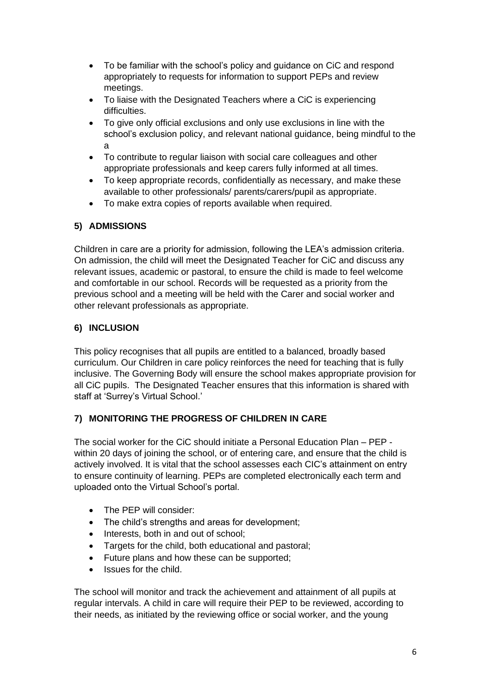- To be familiar with the school's policy and guidance on CiC and respond appropriately to requests for information to support PEPs and review meetings.
- To liaise with the Designated Teachers where a CiC is experiencing difficulties.
- To give only official exclusions and only use exclusions in line with the school's exclusion policy, and relevant national guidance, being mindful to the a
- To contribute to regular liaison with social care colleagues and other appropriate professionals and keep carers fully informed at all times.
- To keep appropriate records, confidentially as necessary, and make these available to other professionals/ parents/carers/pupil as appropriate.
- To make extra copies of reports available when required.

# <span id="page-5-0"></span>**5) ADMISSIONS**

Children in care are a priority for admission, following the LEA's admission criteria. On admission, the child will meet the Designated Teacher for CiC and discuss any relevant issues, academic or pastoral, to ensure the child is made to feel welcome and comfortable in our school. Records will be requested as a priority from the previous school and a meeting will be held with the Carer and social worker and other relevant professionals as appropriate.

#### <span id="page-5-1"></span>**6) INCLUSION**

This policy recognises that all pupils are entitled to a balanced, broadly based curriculum. Our Children in care policy reinforces the need for teaching that is fully inclusive. The Governing Body will ensure the school makes appropriate provision for all CiC pupils. The Designated Teacher ensures that this information is shared with staff at 'Surrey's Virtual School.'

#### <span id="page-5-2"></span>**7) MONITORING THE PROGRESS OF CHILDREN IN CARE**

The social worker for the CiC should initiate a Personal Education Plan – PEP within 20 days of joining the school, or of entering care, and ensure that the child is actively involved. It is vital that the school assesses each CIC's attainment on entry to ensure continuity of learning. PEPs are completed electronically each term and uploaded onto the Virtual School's portal.

- The PEP will consider:
- The child's strengths and areas for development;
- Interests, both in and out of school;
- Targets for the child, both educational and pastoral:
- Future plans and how these can be supported;
- Issues for the child.

The school will monitor and track the achievement and attainment of all pupils at regular intervals. A child in care will require their PEP to be reviewed, according to their needs, as initiated by the reviewing office or social worker, and the young